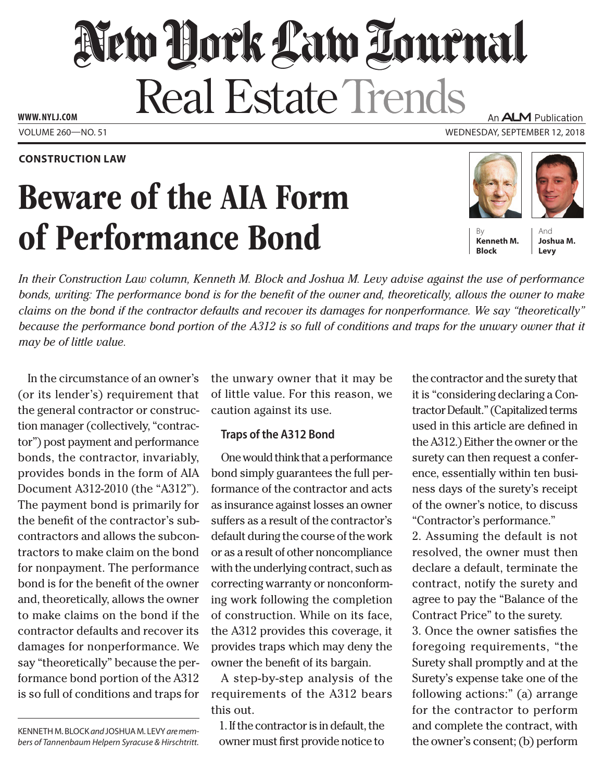# New York Law Tournal Real Estate Trends **www. NYLJ.com** An **ALM** Publication

Volume 260—NO. 51 Wednesday, September 12, 2018

**Construction Law**

# Beware of the AIA Form of Performance Bond





**Block**

And **Joshua M. Levy**

*In their Construction Law column, Kenneth M. Block and Joshua M. Levy advise against the use of performance bonds, writing: The performance bond is for the benefit of the owner and, theoretically, allows the owner to make claims on the bond if the contractor defaults and recover its damages for nonperformance. We say "theoretically" because the performance bond portion of the A312 is so full of conditions and traps for the unwary owner that it may be of little value.*

In the circumstance of an owner's (or its lender's) requirement that the general contractor or construction manager (collectively, "contractor") post payment and performance bonds, the contractor, invariably, provides bonds in the form of AIA Document A312-2010 (the "A312"). The payment bond is primarily for the benefit of the contractor's subcontractors and allows the subcontractors to make claim on the bond for nonpayment. The performance bond is for the benefit of the owner and, theoretically, allows the owner to make claims on the bond if the contractor defaults and recover its damages for nonperformance. We say "theoretically" because the performance bond portion of the A312 is so full of conditions and traps for

Kenneth M. Block *and* Joshua M. Levy *are members of Tannenbaum Helpern Syracuse & Hirschtritt.*  the unwary owner that it may be of little value. For this reason, we caution against its use.

## **Traps of the A312 Bond**

One would think that a performance bond simply guarantees the full performance of the contractor and acts as insurance against losses an owner suffers as a result of the contractor's default during the course of the work or as a result of other noncompliance with the underlying contract, such as correcting warranty or nonconforming work following the completion of construction. While on its face, the A312 provides this coverage, it provides traps which may deny the owner the benefit of its bargain.

A step-by-step analysis of the requirements of the A312 bears this out.

1. If the contractor is in default, the owner must first provide notice to the contractor and the surety that it is "considering declaring a Contractor Default." (Capitalized terms used in this article are defined in the A312.) Either the owner or the surety can then request a conference, essentially within ten business days of the surety's receipt of the owner's notice, to discuss "Contractor's performance."

2. Assuming the default is not resolved, the owner must then declare a default, terminate the contract, notify the surety and agree to pay the "Balance of the Contract Price" to the surety.

3. Once the owner satisfies the foregoing requirements, "the Surety shall promptly and at the Surety's expense take one of the following actions:" (a) arrange for the contractor to perform and complete the contract, with the owner's consent; (b) perform